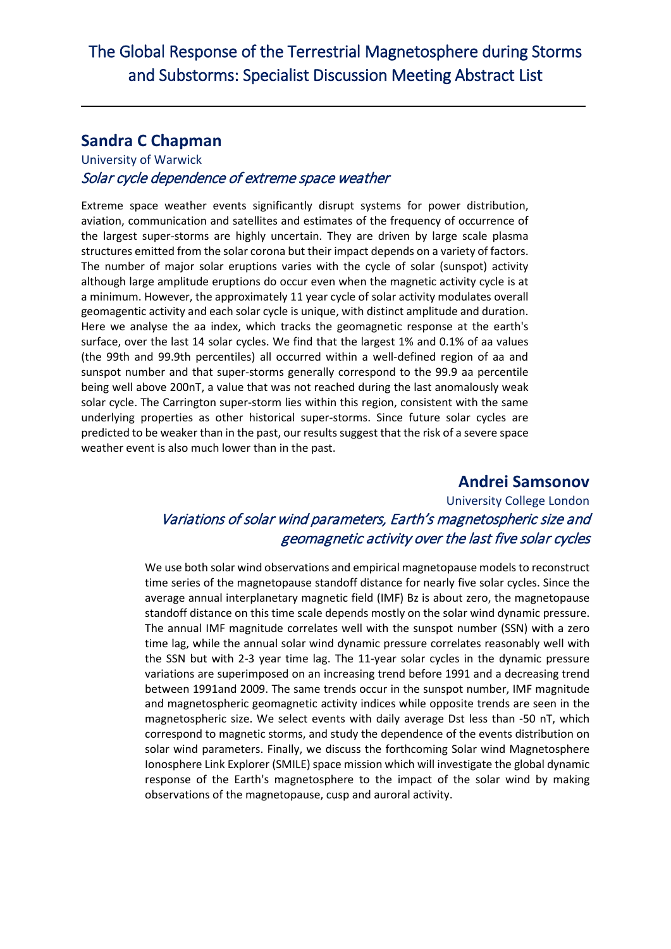# **Sandra C Chapman**

-

#### University of Warwick Solar cycle dependence of extreme space weather

Extreme space weather events significantly disrupt systems for power distribution, aviation, communication and satellites and estimates of the frequency of occurrence of the largest super-storms are highly uncertain. They are driven by large scale plasma structures emitted from the solar corona but their impact depends on a variety of factors. The number of major solar eruptions varies with the cycle of solar (sunspot) activity although large amplitude eruptions do occur even when the magnetic activity cycle is at a minimum. However, the approximately 11 year cycle of solar activity modulates overall geomagentic activity and each solar cycle is unique, with distinct amplitude and duration. Here we analyse the aa index, which tracks the geomagnetic response at the earth's surface, over the last 14 solar cycles. We find that the largest 1% and 0.1% of aa values (the 99th and 99.9th percentiles) all occurred within a well-defined region of aa and sunspot number and that super-storms generally correspond to the 99.9 aa percentile being well above 200nT, a value that was not reached during the last anomalously weak solar cycle. The Carrington super-storm lies within this region, consistent with the same underlying properties as other historical super-storms. Since future solar cycles are predicted to be weaker than in the past, our results suggest that the risk of a severe space weather event is also much lower than in the past.

# **Andrei Samsonov**

# University College London Variations of solar wind parameters, Earth's magnetospheric size and geomagnetic activity over the last five solar cycles

We use both solar wind observations and empirical magnetopause models to reconstruct time series of the magnetopause standoff distance for nearly five solar cycles. Since the average annual interplanetary magnetic field (IMF) Bz is about zero, the magnetopause standoff distance on this time scale depends mostly on the solar wind dynamic pressure. The annual IMF magnitude correlates well with the sunspot number (SSN) with a zero time lag, while the annual solar wind dynamic pressure correlates reasonably well with the SSN but with 2-3 year time lag. The 11-year solar cycles in the dynamic pressure variations are superimposed on an increasing trend before 1991 and a decreasing trend between 1991and 2009. The same trends occur in the sunspot number, IMF magnitude and magnetospheric geomagnetic activity indices while opposite trends are seen in the magnetospheric size. We select events with daily average Dst less than -50 nT, which correspond to magnetic storms, and study the dependence of the events distribution on solar wind parameters. Finally, we discuss the forthcoming Solar wind Magnetosphere Ionosphere Link Explorer (SMILE) space mission which will investigate the global dynamic response of the Earth's magnetosphere to the impact of the solar wind by making observations of the magnetopause, cusp and auroral activity.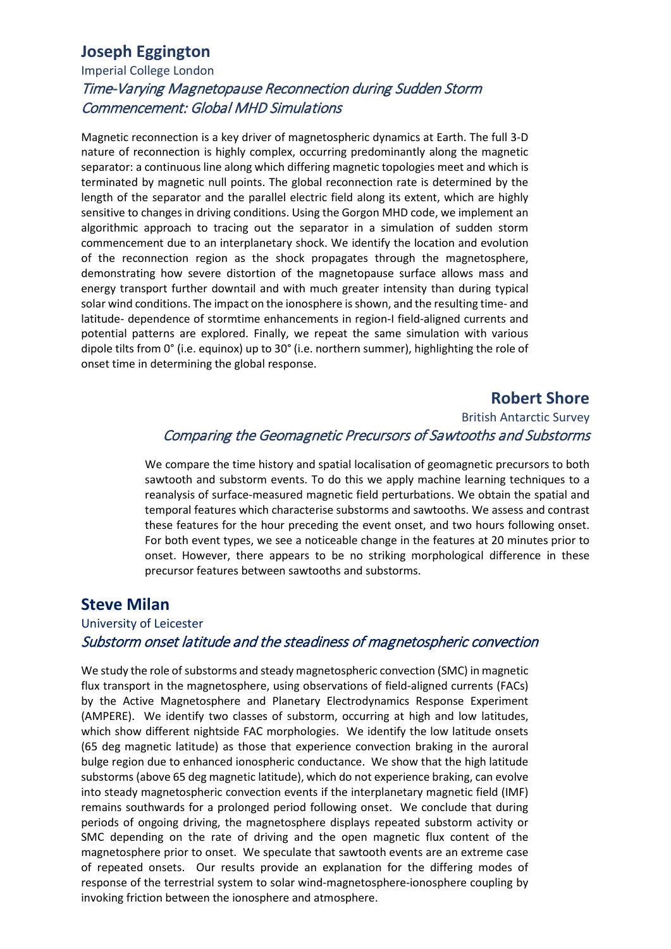# **Joseph Eggington**

## Imperial College London Time-Varying Magnetopause Reconnection during Sudden Storm Commencement: Global MHD Simulations

Magnetic reconnection is a key driver of magnetospheric dynamics at Earth. The full 3-D nature of reconnection is highly complex, occurring predominantly along the magnetic separator: a continuous line along which differing magnetic topologies meet and which is terminated by magnetic null points. The global reconnection rate is determined by the length of the separator and the parallel electric field along its extent, which are highly sensitive to changes in driving conditions. Using the Gorgon MHD code, we implement an algorithmic approach to tracing out the separator in a simulation of sudden storm commencement due to an interplanetary shock. We identify the location and evolution of the reconnection region as the shock propagates through the magnetosphere, demonstrating how severe distortion of the magnetopause surface allows mass and energy transport further downtail and with much greater intensity than during typical solar wind conditions. The impact on the ionosphere is shown, and the resulting time- and latitude- dependence of stormtime enhancements in region-I field-aligned currents and potential patterns are explored. Finally, we repeat the same simulation with various dipole tilts from 0° (i.e. equinox) up to 30° (i.e. northern summer), highlighting the role of onset time in determining the global response.

#### **Robert Shore**

#### British Antarctic Survey Comparing the Geomagnetic Precursors of Sawtooths and Substorms

We compare the time history and spatial localisation of geomagnetic precursors to both sawtooth and substorm events. To do this we apply machine learning techniques to a reanalysis of surface-measured magnetic field perturbations. We obtain the spatial and temporal features which characterise substorms and sawtooths. We assess and contrast these features for the hour preceding the event onset, and two hours following onset. For both event types, we see a noticeable change in the features at 20 minutes prior to onset. However, there appears to be no striking morphological difference in these precursor features between sawtooths and substorms.

## **Steve Milan**

#### University of Leicester Substorm onset latitude and the steadiness of magnetospheric convection

We study the role of substorms and steady magnetospheric convection (SMC) in magnetic flux transport in the magnetosphere, using observations of field-aligned currents (FACs) by the Active Magnetosphere and Planetary Electrodynamics Response Experiment (AMPERE). We identify two classes of substorm, occurring at high and low latitudes, which show different nightside FAC morphologies. We identify the low latitude onsets (65 deg magnetic latitude) as those that experience convection braking in the auroral bulge region due to enhanced ionospheric conductance. We show that the high latitude substorms (above 65 deg magnetic latitude), which do not experience braking, can evolve into steady magnetospheric convection events if the interplanetary magnetic field (IMF) remains southwards for a prolonged period following onset. We conclude that during periods of ongoing driving, the magnetosphere displays repeated substorm activity or SMC depending on the rate of driving and the open magnetic flux content of the magnetosphere prior to onset. We speculate that sawtooth events are an extreme case of repeated onsets. Our results provide an explanation for the differing modes of response of the terrestrial system to solar wind-magnetosphere-ionosphere coupling by invoking friction between the ionosphere and atmosphere.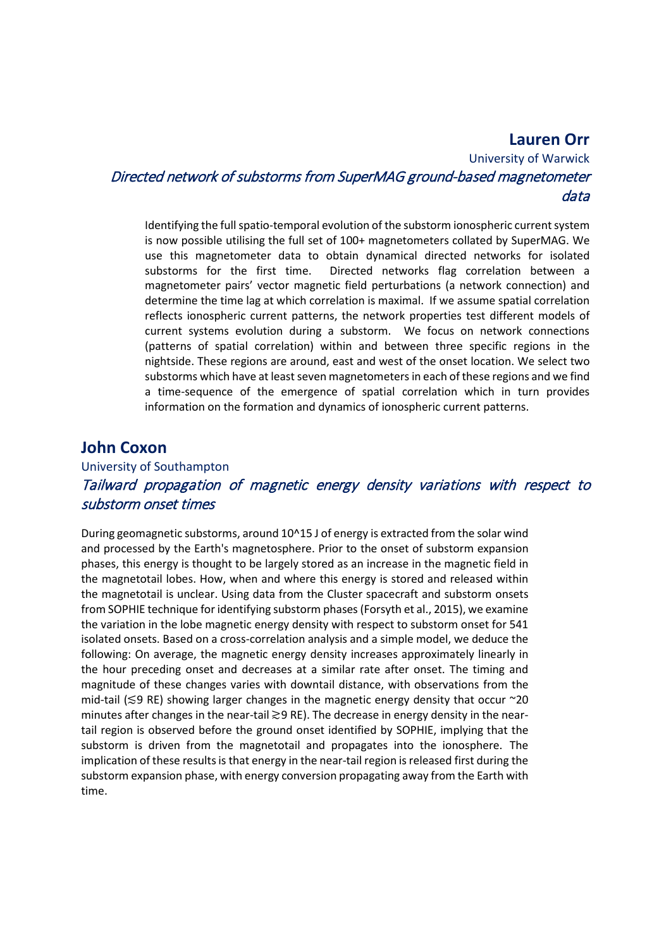#### **Lauren Orr**

University of Warwick Directed network of substorms from SuperMAG ground-based magnetometer data

Identifying the full spatio-temporal evolution of the substorm ionospheric current system is now possible utilising the full set of 100+ magnetometers collated by SuperMAG. We use this magnetometer data to obtain dynamical directed networks for isolated substorms for the first time. Directed networks flag correlation between a magnetometer pairs' vector magnetic field perturbations (a network connection) and determine the time lag at which correlation is maximal. If we assume spatial correlation reflects ionospheric current patterns, the network properties test different models of current systems evolution during a substorm. We focus on network connections (patterns of spatial correlation) within and between three specific regions in the nightside. These regions are around, east and west of the onset location. We select two substorms which have at least seven magnetometers in each of these regions and we find a time-sequence of the emergence of spatial correlation which in turn provides information on the formation and dynamics of ionospheric current patterns.

#### **John Coxon**

## University of Southampton Tailward propagation of magnetic energy density variations with respect to substorm onset times

During geomagnetic substorms, around 10^15 J of energy is extracted from the solar wind and processed by the Earth's magnetosphere. Prior to the onset of substorm expansion phases, this energy is thought to be largely stored as an increase in the magnetic field in the magnetotail lobes. How, when and where this energy is stored and released within the magnetotail is unclear. Using data from the Cluster spacecraft and substorm onsets from SOPHIE technique for identifying substorm phases (Forsyth et al., 2015), we examine the variation in the lobe magnetic energy density with respect to substorm onset for 541 isolated onsets. Based on a cross-correlation analysis and a simple model, we deduce the following: On average, the magnetic energy density increases approximately linearly in the hour preceding onset and decreases at a similar rate after onset. The timing and magnitude of these changes varies with downtail distance, with observations from the mid-tail (≲9 RE) showing larger changes in the magnetic energy density that occur ~20 minutes after changes in the near-tail ≳9 RE). The decrease in energy density in the neartail region is observed before the ground onset identified by SOPHIE, implying that the substorm is driven from the magnetotail and propagates into the ionosphere. The implication of these results is that energy in the near-tail region is released first during the substorm expansion phase, with energy conversion propagating away from the Earth with time.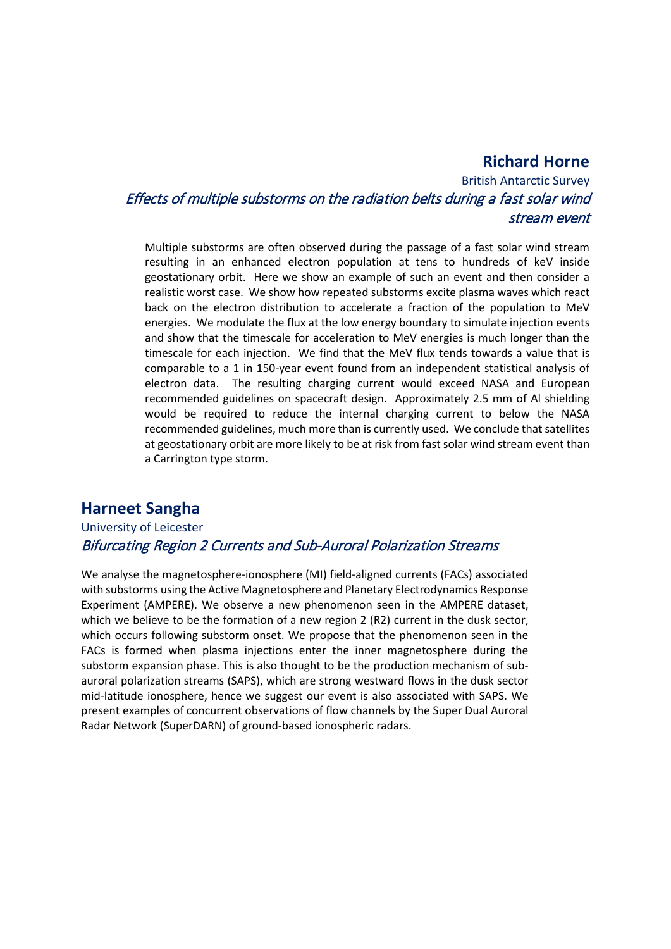#### **Richard Horne**

# British Antarctic Survey Effects of multiple substorms on the radiation belts during a fast solar wind stream event

Multiple substorms are often observed during the passage of a fast solar wind stream resulting in an enhanced electron population at tens to hundreds of keV inside geostationary orbit. Here we show an example of such an event and then consider a realistic worst case. We show how repeated substorms excite plasma waves which react back on the electron distribution to accelerate a fraction of the population to MeV energies. We modulate the flux at the low energy boundary to simulate injection events and show that the timescale for acceleration to MeV energies is much longer than the timescale for each injection. We find that the MeV flux tends towards a value that is comparable to a 1 in 150-year event found from an independent statistical analysis of electron data. The resulting charging current would exceed NASA and European recommended guidelines on spacecraft design. Approximately 2.5 mm of Al shielding would be required to reduce the internal charging current to below the NASA recommended guidelines, much more than is currently used. We conclude that satellites at geostationary orbit are more likely to be at risk from fast solar wind stream event than a Carrington type storm.

# **Harneet Sangha**

#### University of Leicester Bifurcating Region 2 Currents and Sub-Auroral Polarization Streams

We analyse the magnetosphere-ionosphere (MI) field-aligned currents (FACs) associated with substorms using the Active Magnetosphere and Planetary Electrodynamics Response Experiment (AMPERE). We observe a new phenomenon seen in the AMPERE dataset, which we believe to be the formation of a new region 2 (R2) current in the dusk sector, which occurs following substorm onset. We propose that the phenomenon seen in the FACs is formed when plasma injections enter the inner magnetosphere during the substorm expansion phase. This is also thought to be the production mechanism of subauroral polarization streams (SAPS), which are strong westward flows in the dusk sector mid-latitude ionosphere, hence we suggest our event is also associated with SAPS. We present examples of concurrent observations of flow channels by the Super Dual Auroral Radar Network (SuperDARN) of ground-based ionospheric radars.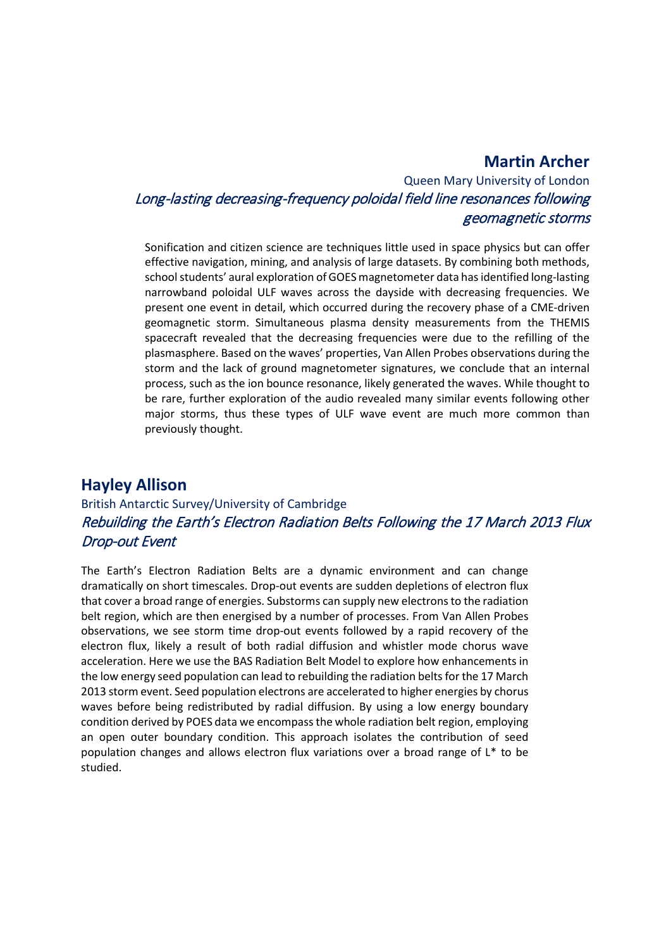## **Martin Archer**

Queen Mary University of London Long-lasting decreasing-frequency poloidal field line resonances following geomagnetic storms

Sonification and citizen science are techniques little used in space physics but can offer effective navigation, mining, and analysis of large datasets. By combining both methods, school students' aural exploration of GOES magnetometer data has identified long-lasting narrowband poloidal ULF waves across the dayside with decreasing frequencies. We present one event in detail, which occurred during the recovery phase of a CME-driven geomagnetic storm. Simultaneous plasma density measurements from the THEMIS spacecraft revealed that the decreasing frequencies were due to the refilling of the plasmasphere. Based on the waves' properties, Van Allen Probes observations during the storm and the lack of ground magnetometer signatures, we conclude that an internal process, such as the ion bounce resonance, likely generated the waves. While thought to be rare, further exploration of the audio revealed many similar events following other major storms, thus these types of ULF wave event are much more common than previously thought.

# **Hayley Allison**

# British Antarctic Survey/University of Cambridge Rebuilding the Earth's Electron Radiation Belts Following the 17 March 2013 Flux Drop-out Event

The Earth's Electron Radiation Belts are a dynamic environment and can change dramatically on short timescales. Drop-out events are sudden depletions of electron flux that cover a broad range of energies. Substorms can supply new electrons to the radiation belt region, which are then energised by a number of processes. From Van Allen Probes observations, we see storm time drop-out events followed by a rapid recovery of the electron flux, likely a result of both radial diffusion and whistler mode chorus wave acceleration. Here we use the BAS Radiation Belt Model to explore how enhancements in the low energy seed population can lead to rebuilding the radiation belts for the 17 March 2013 storm event. Seed population electrons are accelerated to higher energies by chorus waves before being redistributed by radial diffusion. By using a low energy boundary condition derived by POES data we encompass the whole radiation belt region, employing an open outer boundary condition. This approach isolates the contribution of seed population changes and allows electron flux variations over a broad range of L\* to be studied.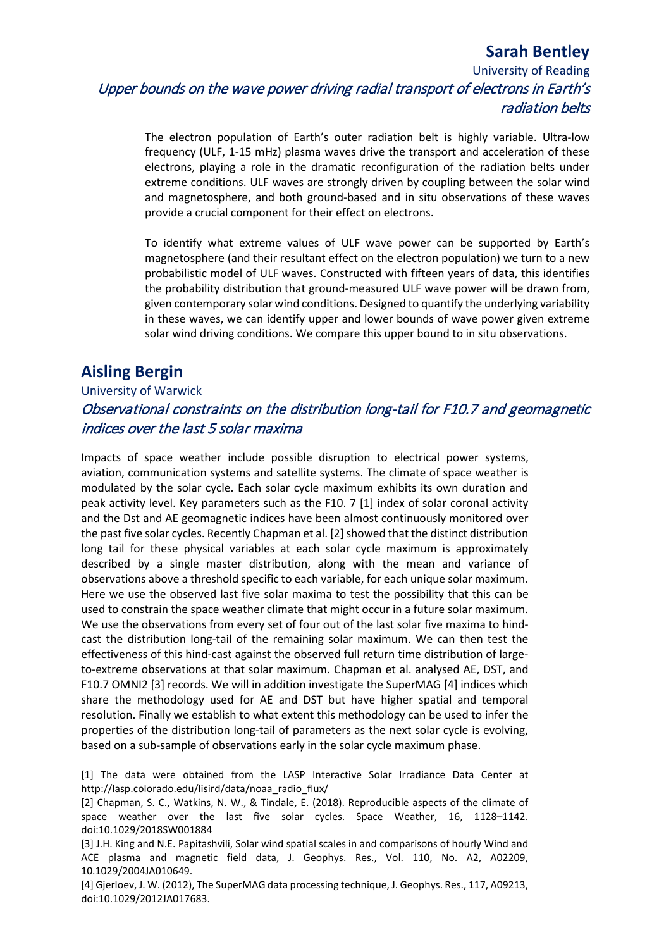# **Sarah Bentley**

University of Reading Upper bounds on the wave power driving radial transport of electrons in Earth's radiation belts

The electron population of Earth's outer radiation belt is highly variable. Ultra-low frequency (ULF, 1-15 mHz) plasma waves drive the transport and acceleration of these electrons, playing a role in the dramatic reconfiguration of the radiation belts under extreme conditions. ULF waves are strongly driven by coupling between the solar wind and magnetosphere, and both ground-based and in situ observations of these waves provide a crucial component for their effect on electrons.

To identify what extreme values of ULF wave power can be supported by Earth's magnetosphere (and their resultant effect on the electron population) we turn to a new probabilistic model of ULF waves. Constructed with fifteen years of data, this identifies the probability distribution that ground-measured ULF wave power will be drawn from, given contemporary solar wind conditions. Designed to quantify the underlying variability in these waves, we can identify upper and lower bounds of wave power given extreme solar wind driving conditions. We compare this upper bound to in situ observations.

# **Aisling Bergin**

#### University of Warwick Observational constraints on the distribution long-tail for F10.7 and geomagnetic indices over the last 5 solar maxima

Impacts of space weather include possible disruption to electrical power systems, aviation, communication systems and satellite systems. The climate of space weather is modulated by the solar cycle. Each solar cycle maximum exhibits its own duration and peak activity level. Key parameters such as the F10. 7 [1] index of solar coronal activity and the Dst and AE geomagnetic indices have been almost continuously monitored over the past five solar cycles. Recently Chapman et al. [2] showed that the distinct distribution long tail for these physical variables at each solar cycle maximum is approximately described by a single master distribution, along with the mean and variance of observations above a threshold specific to each variable, for each unique solar maximum. Here we use the observed last five solar maxima to test the possibility that this can be used to constrain the space weather climate that might occur in a future solar maximum. We use the observations from every set of four out of the last solar five maxima to hindcast the distribution long-tail of the remaining solar maximum. We can then test the effectiveness of this hind-cast against the observed full return time distribution of largeto-extreme observations at that solar maximum. Chapman et al. analysed AE, DST, and F10.7 OMNI2 [3] records. We will in addition investigate the SuperMAG [4] indices which share the methodology used for AE and DST but have higher spatial and temporal resolution. Finally we establish to what extent this methodology can be used to infer the properties of the distribution long-tail of parameters as the next solar cycle is evolving, based on a sub-sample of observations early in the solar cycle maximum phase.

[1] The data were obtained from the LASP Interactive Solar Irradiance Data Center at http://lasp.colorado.edu/lisird/data/noaa\_radio\_flux/

[2] Chapman, S. C., Watkins, N. W., & Tindale, E. (2018). Reproducible aspects of the climate of space weather over the last five solar cycles. Space Weather, 16, 1128–1142. doi:10.1029/2018SW001884

[3] J.H. King and N.E. Papitashvili, Solar wind spatial scales in and comparisons of hourly Wind and ACE plasma and magnetic field data, J. Geophys. Res., Vol. 110, No. A2, A02209, 10.1029/2004JA010649.

[4] Gjerloev, J. W. (2012), The SuperMAG data processing technique, J. Geophys. Res., 117, A09213, doi:10.1029/2012JA017683.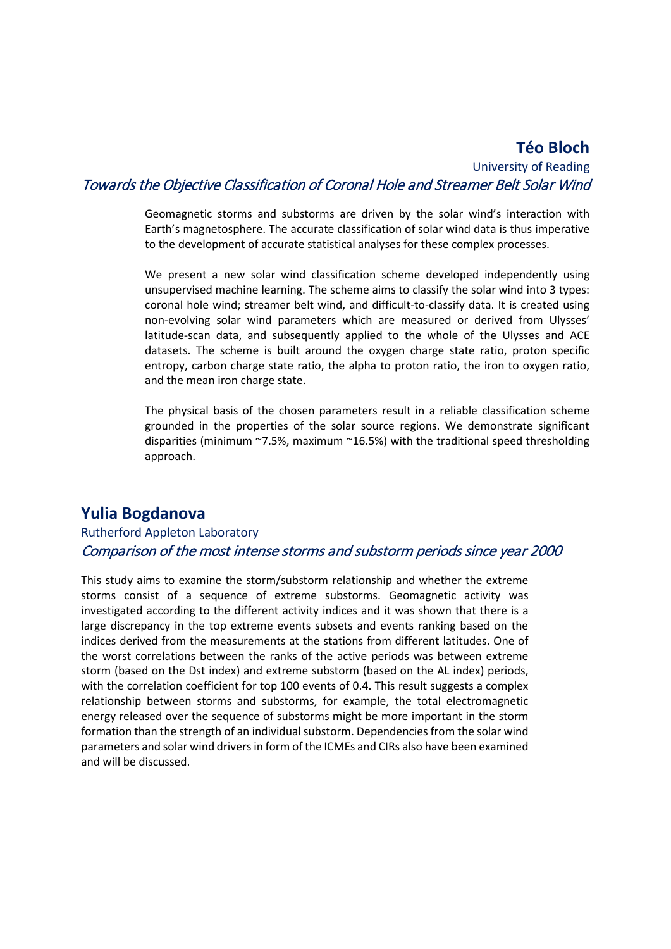#### **Téo Bloch** University of Reading Towards the Objective Classification of Coronal Hole and Streamer Belt Solar Wind

Geomagnetic storms and substorms are driven by the solar wind's interaction with Earth's magnetosphere. The accurate classification of solar wind data is thus imperative to the development of accurate statistical analyses for these complex processes.

We present a new solar wind classification scheme developed independently using unsupervised machine learning. The scheme aims to classify the solar wind into 3 types: coronal hole wind; streamer belt wind, and difficult-to-classify data. It is created using non-evolving solar wind parameters which are measured or derived from Ulysses' latitude-scan data, and subsequently applied to the whole of the Ulysses and ACE datasets. The scheme is built around the oxygen charge state ratio, proton specific entropy, carbon charge state ratio, the alpha to proton ratio, the iron to oxygen ratio, and the mean iron charge state.

The physical basis of the chosen parameters result in a reliable classification scheme grounded in the properties of the solar source regions. We demonstrate significant disparities (minimum ~7.5%, maximum ~16.5%) with the traditional speed thresholding approach.

## **Yulia Bogdanova**

#### Rutherford Appleton Laboratory Comparison of the most intense storms and substorm periods since year 2000

This study aims to examine the storm/substorm relationship and whether the extreme storms consist of a sequence of extreme substorms. Geomagnetic activity was investigated according to the different activity indices and it was shown that there is a large discrepancy in the top extreme events subsets and events ranking based on the indices derived from the measurements at the stations from different latitudes. One of the worst correlations between the ranks of the active periods was between extreme storm (based on the Dst index) and extreme substorm (based on the AL index) periods, with the correlation coefficient for top 100 events of 0.4. This result suggests a complex relationship between storms and substorms, for example, the total electromagnetic energy released over the sequence of substorms might be more important in the storm formation than the strength of an individual substorm. Dependencies from the solar wind parameters and solar wind drivers in form of the ICMEs and CIRs also have been examined and will be discussed.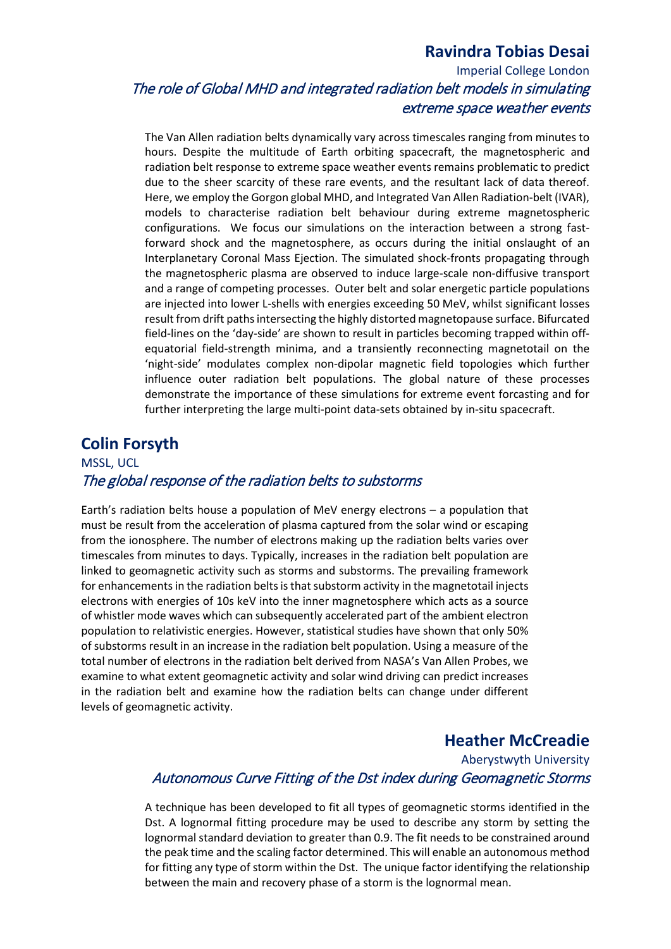# **Ravindra Tobias Desai**

# Imperial College London The role of Global MHD and integrated radiation belt models in simulating extreme space weather events

The Van Allen radiation belts dynamically vary across timescales ranging from minutes to hours. Despite the multitude of Earth orbiting spacecraft, the magnetospheric and radiation belt response to extreme space weather events remains problematic to predict due to the sheer scarcity of these rare events, and the resultant lack of data thereof. Here, we employ the Gorgon global MHD, and Integrated Van Allen Radiation-belt (IVAR), models to characterise radiation belt behaviour during extreme magnetospheric configurations. We focus our simulations on the interaction between a strong fastforward shock and the magnetosphere, as occurs during the initial onslaught of an Interplanetary Coronal Mass Ejection. The simulated shock-fronts propagating through the magnetospheric plasma are observed to induce large-scale non-diffusive transport and a range of competing processes. Outer belt and solar energetic particle populations are injected into lower L-shells with energies exceeding 50 MeV, whilst significant losses result from drift paths intersecting the highly distorted magnetopause surface. Bifurcated field-lines on the 'day-side' are shown to result in particles becoming trapped within offequatorial field-strength minima, and a transiently reconnecting magnetotail on the 'night-side' modulates complex non-dipolar magnetic field topologies which further influence outer radiation belt populations. The global nature of these processes demonstrate the importance of these simulations for extreme event forcasting and for further interpreting the large multi-point data-sets obtained by in-situ spacecraft.

#### **Colin Forsyth**

## MSSL, UCL The global response of the radiation belts to substorms

Earth's radiation belts house a population of MeV energy electrons – a population that must be result from the acceleration of plasma captured from the solar wind or escaping from the ionosphere. The number of electrons making up the radiation belts varies over timescales from minutes to days. Typically, increases in the radiation belt population are linked to geomagnetic activity such as storms and substorms. The prevailing framework for enhancements in the radiation belts is that substorm activity in the magnetotail injects electrons with energies of 10s keV into the inner magnetosphere which acts as a source of whistler mode waves which can subsequently accelerated part of the ambient electron population to relativistic energies. However, statistical studies have shown that only 50% of substorms result in an increase in the radiation belt population. Using a measure of the total number of electrons in the radiation belt derived from NASA's Van Allen Probes, we examine to what extent geomagnetic activity and solar wind driving can predict increases in the radiation belt and examine how the radiation belts can change under different levels of geomagnetic activity.

## **Heather McCreadie**

## Aberystwyth University Autonomous Curve Fitting of the Dst index during Geomagnetic Storms

A technique has been developed to fit all types of geomagnetic storms identified in the Dst. A lognormal fitting procedure may be used to describe any storm by setting the lognormal standard deviation to greater than 0.9. The fit needs to be constrained around the peak time and the scaling factor determined. This will enable an autonomous method for fitting any type of storm within the Dst. The unique factor identifying the relationship between the main and recovery phase of a storm is the lognormal mean.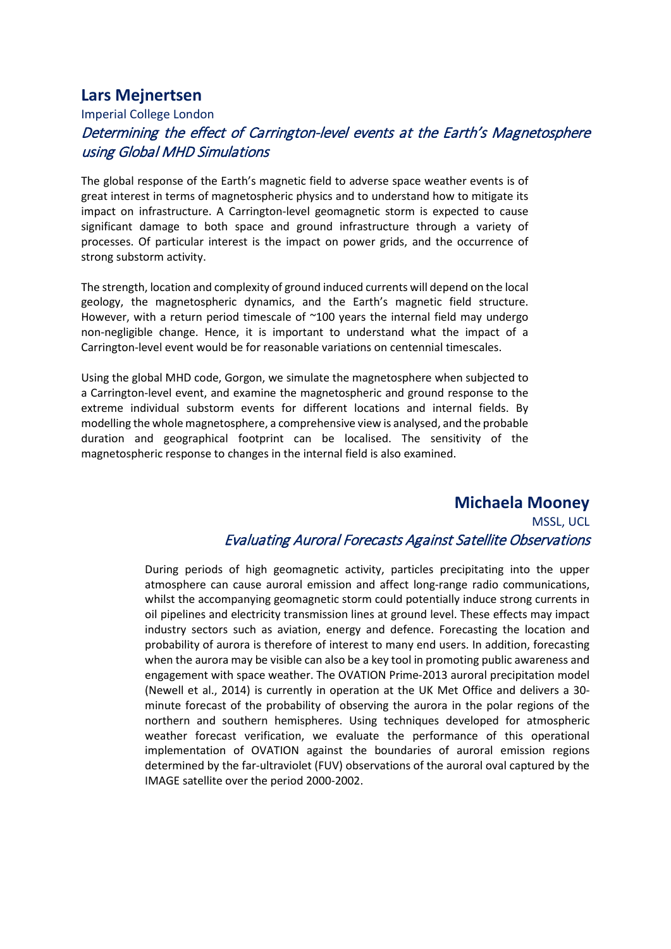## **Lars Mejnertsen**

#### Imperial College London Determining the effect of Carrington-level events at the Earth's Magnetosphere using Global MHD Simulations

The global response of the Earth's magnetic field to adverse space weather events is of great interest in terms of magnetospheric physics and to understand how to mitigate its impact on infrastructure. A Carrington-level geomagnetic storm is expected to cause significant damage to both space and ground infrastructure through a variety of processes. Of particular interest is the impact on power grids, and the occurrence of strong substorm activity.

The strength, location and complexity of ground induced currents will depend on the local geology, the magnetospheric dynamics, and the Earth's magnetic field structure. However, with a return period timescale of  $\sim$ 100 years the internal field may undergo non-negligible change. Hence, it is important to understand what the impact of a Carrington-level event would be for reasonable variations on centennial timescales.

Using the global MHD code, Gorgon, we simulate the magnetosphere when subjected to a Carrington-level event, and examine the magnetospheric and ground response to the extreme individual substorm events for different locations and internal fields. By modelling the whole magnetosphere, a comprehensive view is analysed, and the probable duration and geographical footprint can be localised. The sensitivity of the magnetospheric response to changes in the internal field is also examined.

#### **Michaela Mooney** MSSL, UCL Evaluating Auroral Forecasts Against Satellite Observations

During periods of high geomagnetic activity, particles precipitating into the upper atmosphere can cause auroral emission and affect long-range radio communications, whilst the accompanying geomagnetic storm could potentially induce strong currents in oil pipelines and electricity transmission lines at ground level. These effects may impact industry sectors such as aviation, energy and defence. Forecasting the location and probability of aurora is therefore of interest to many end users. In addition, forecasting when the aurora may be visible can also be a key tool in promoting public awareness and engagement with space weather. The OVATION Prime-2013 auroral precipitation model (Newell et al., 2014) is currently in operation at the UK Met Office and delivers a 30 minute forecast of the probability of observing the aurora in the polar regions of the northern and southern hemispheres. Using techniques developed for atmospheric weather forecast verification, we evaluate the performance of this operational implementation of OVATION against the boundaries of auroral emission regions determined by the far-ultraviolet (FUV) observations of the auroral oval captured by the IMAGE satellite over the period 2000-2002.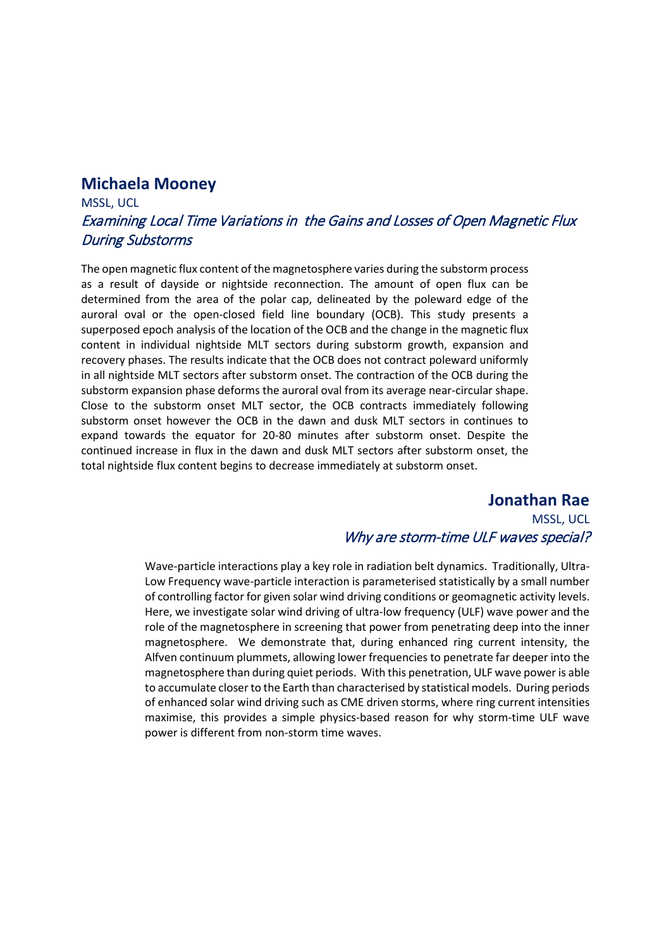#### **Michaela Mooney**

## MSSL, UCL Examining Local Time Variations in the Gains and Losses of Open Magnetic Flux During Substorms

The open magnetic flux content of the magnetosphere varies during the substorm process as a result of dayside or nightside reconnection. The amount of open flux can be determined from the area of the polar cap, delineated by the poleward edge of the auroral oval or the open-closed field line boundary (OCB). This study presents a superposed epoch analysis of the location of the OCB and the change in the magnetic flux content in individual nightside MLT sectors during substorm growth, expansion and recovery phases. The results indicate that the OCB does not contract poleward uniformly in all nightside MLT sectors after substorm onset. The contraction of the OCB during the substorm expansion phase deforms the auroral oval from its average near-circular shape. Close to the substorm onset MLT sector, the OCB contracts immediately following substorm onset however the OCB in the dawn and dusk MLT sectors in continues to expand towards the equator for 20-80 minutes after substorm onset. Despite the continued increase in flux in the dawn and dusk MLT sectors after substorm onset, the total nightside flux content begins to decrease immediately at substorm onset.

#### **Jonathan Rae**

#### MSSL, UCL Why are storm-time ULF waves special?

Wave-particle interactions play a key role in radiation belt dynamics. Traditionally, Ultra-Low Frequency wave-particle interaction is parameterised statistically by a small number of controlling factor for given solar wind driving conditions or geomagnetic activity levels. Here, we investigate solar wind driving of ultra-low frequency (ULF) wave power and the role of the magnetosphere in screening that power from penetrating deep into the inner magnetosphere. We demonstrate that, during enhanced ring current intensity, the Alfven continuum plummets, allowing lower frequencies to penetrate far deeper into the magnetosphere than during quiet periods. With this penetration, ULF wave power is able to accumulate closer to the Earth than characterised by statistical models. During periods of enhanced solar wind driving such as CME driven storms, where ring current intensities maximise, this provides a simple physics-based reason for why storm-time ULF wave power is different from non-storm time waves.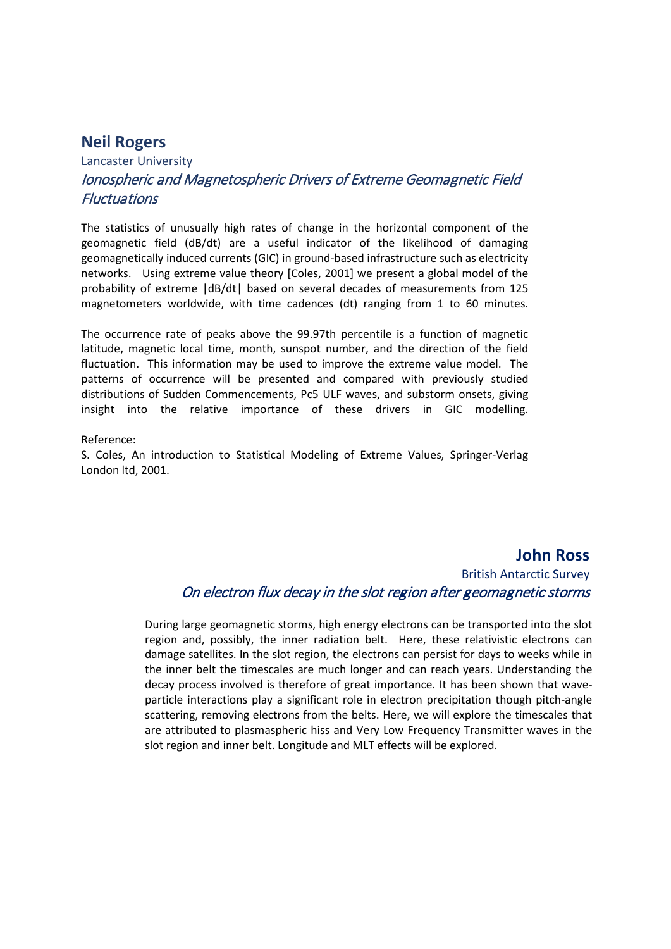#### **Neil Rogers**

# Lancaster University Ionospheric and Magnetospheric Drivers of Extreme Geomagnetic Field **Fluctuations**

The statistics of unusually high rates of change in the horizontal component of the geomagnetic field (dB/dt) are a useful indicator of the likelihood of damaging geomagnetically induced currents (GIC) in ground-based infrastructure such as electricity networks. Using extreme value theory [Coles, 2001] we present a global model of the probability of extreme |dB/dt| based on several decades of measurements from 125 magnetometers worldwide, with time cadences (dt) ranging from 1 to 60 minutes.

The occurrence rate of peaks above the 99.97th percentile is a function of magnetic latitude, magnetic local time, month, sunspot number, and the direction of the field fluctuation. This information may be used to improve the extreme value model. The patterns of occurrence will be presented and compared with previously studied distributions of Sudden Commencements, Pc5 ULF waves, and substorm onsets, giving insight into the relative importance of these drivers in GIC modelling.

#### Reference:

S. Coles, An introduction to Statistical Modeling of Extreme Values, Springer-Verlag London ltd, 2001.

#### **John Ross**

# British Antarctic Survey On electron flux decay in the slot region after geomagnetic storms

During large geomagnetic storms, high energy electrons can be transported into the slot region and, possibly, the inner radiation belt. Here, these relativistic electrons can damage satellites. In the slot region, the electrons can persist for days to weeks while in the inner belt the timescales are much longer and can reach years. Understanding the decay process involved is therefore of great importance. It has been shown that waveparticle interactions play a significant role in electron precipitation though pitch-angle scattering, removing electrons from the belts. Here, we will explore the timescales that are attributed to plasmaspheric hiss and Very Low Frequency Transmitter waves in the slot region and inner belt. Longitude and MLT effects will be explored.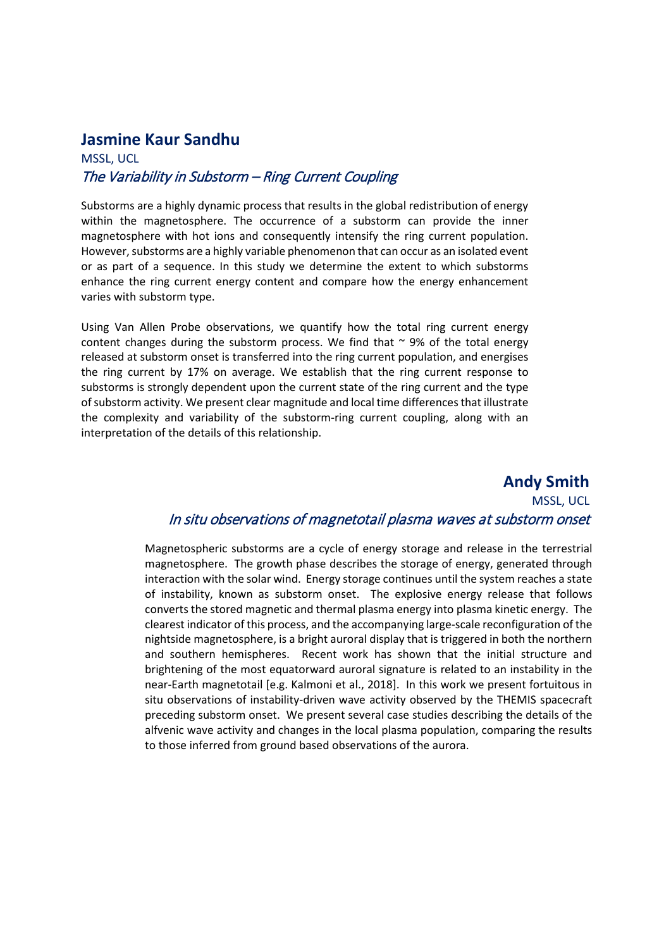#### **Jasmine Kaur Sandhu**

#### MSSL, UCL The Variability in Substorm – Ring Current Coupling

Substorms are a highly dynamic process that results in the global redistribution of energy within the magnetosphere. The occurrence of a substorm can provide the inner magnetosphere with hot ions and consequently intensify the ring current population. However, substorms are a highly variable phenomenon that can occur as an isolated event or as part of a sequence. In this study we determine the extent to which substorms enhance the ring current energy content and compare how the energy enhancement varies with substorm type.

Using Van Allen Probe observations, we quantify how the total ring current energy content changes during the substorm process. We find that  $\sim$  9% of the total energy released at substorm onset is transferred into the ring current population, and energises the ring current by 17% on average. We establish that the ring current response to substorms is strongly dependent upon the current state of the ring current and the type of substorm activity. We present clear magnitude and local time differences that illustrate the complexity and variability of the substorm-ring current coupling, along with an interpretation of the details of this relationship.

## **Andy Smith** MSSL, UCL In situ observations of magnetotail plasma waves at substorm onset

Magnetospheric substorms are a cycle of energy storage and release in the terrestrial magnetosphere. The growth phase describes the storage of energy, generated through interaction with the solar wind. Energy storage continues until the system reaches a state of instability, known as substorm onset. The explosive energy release that follows converts the stored magnetic and thermal plasma energy into plasma kinetic energy. The clearest indicator of this process, and the accompanying large-scale reconfiguration of the nightside magnetosphere, is a bright auroral display that is triggered in both the northern and southern hemispheres. Recent work has shown that the initial structure and brightening of the most equatorward auroral signature is related to an instability in the near-Earth magnetotail [e.g. Kalmoni et al., 2018]. In this work we present fortuitous in situ observations of instability-driven wave activity observed by the THEMIS spacecraft preceding substorm onset. We present several case studies describing the details of the alfvenic wave activity and changes in the local plasma population, comparing the results to those inferred from ground based observations of the aurora.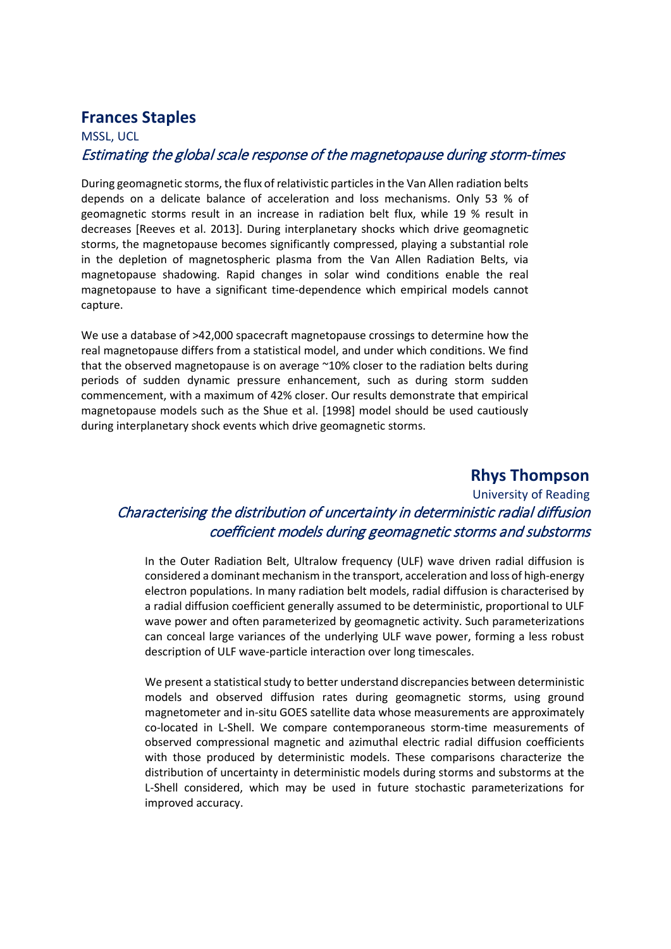# **Frances Staples**

# MSSL, UCL Estimating the global scale response of the magnetopause during storm-times

During geomagnetic storms, the flux of relativistic particles in the Van Allen radiation belts depends on a delicate balance of acceleration and loss mechanisms. Only 53 % of geomagnetic storms result in an increase in radiation belt flux, while 19 % result in decreases [Reeves et al. 2013]. During interplanetary shocks which drive geomagnetic storms, the magnetopause becomes significantly compressed, playing a substantial role in the depletion of magnetospheric plasma from the Van Allen Radiation Belts, via magnetopause shadowing. Rapid changes in solar wind conditions enable the real magnetopause to have a significant time-dependence which empirical models cannot capture.

We use a database of >42,000 spacecraft magnetopause crossings to determine how the real magnetopause differs from a statistical model, and under which conditions. We find that the observed magnetopause is on average ~10% closer to the radiation belts during periods of sudden dynamic pressure enhancement, such as during storm sudden commencement, with a maximum of 42% closer. Our results demonstrate that empirical magnetopause models such as the Shue et al. [1998] model should be used cautiously during interplanetary shock events which drive geomagnetic storms.

#### **Rhys Thompson**

# University of Reading Characterising the distribution of uncertainty in deterministic radial diffusion coefficient models during geomagnetic storms and substorms

In the Outer Radiation Belt, Ultralow frequency (ULF) wave driven radial diffusion is considered a dominant mechanism in the transport, acceleration and loss of high-energy electron populations. In many radiation belt models, radial diffusion is characterised by a radial diffusion coefficient generally assumed to be deterministic, proportional to ULF wave power and often parameterized by geomagnetic activity. Such parameterizations can conceal large variances of the underlying ULF wave power, forming a less robust description of ULF wave-particle interaction over long timescales.

We present a statistical study to better understand discrepancies between deterministic models and observed diffusion rates during geomagnetic storms, using ground magnetometer and in-situ GOES satellite data whose measurements are approximately co-located in L-Shell. We compare contemporaneous storm-time measurements of observed compressional magnetic and azimuthal electric radial diffusion coefficients with those produced by deterministic models. These comparisons characterize the distribution of uncertainty in deterministic models during storms and substorms at the L-Shell considered, which may be used in future stochastic parameterizations for improved accuracy.